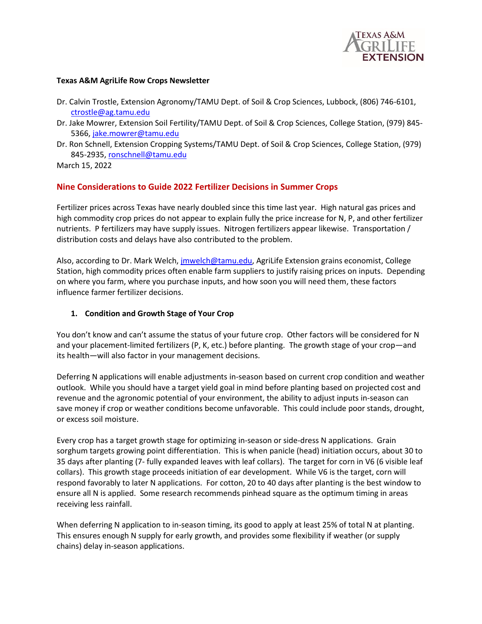

#### **Texas A&M AgriLife Row Crops Newsletter**

- Dr. Calvin Trostle, Extension Agronomy/TAMU Dept. of Soil & Crop Sciences, Lubbock, (806) 746-6101, [ctrostle@ag.tamu.edu](mailto:ctrostle@ag.tamu.edu)
- Dr. Jake Mowrer, Extension Soil Fertility/TAMU Dept. of Soil & Crop Sciences, College Station, (979) 845- 5366[, jake.mowrer@tamu.edu](mailto:jake.mowrer@tamu.edu)
- Dr. Ron Schnell, Extension Cropping Systems/TAMU Dept. of Soil & Crop Sciences, College Station, (979) 845-2935[, ronschnell@tamu.edu](mailto:ronschnell@tamu.edu)

March 15, 2022

#### **Nine Considerations to Guide 2022 Fertilizer Decisions in Summer Crops**

Fertilizer prices across Texas have nearly doubled since this time last year. High natural gas prices and high commodity crop prices do not appear to explain fully the price increase for N, P, and other fertilizer nutrients. P fertilizers may have supply issues. Nitrogen fertilizers appear likewise. Transportation / distribution costs and delays have also contributed to the problem.

Also, according to Dr. Mark Welch, *jmwelch@tamu.edu*, AgriLife Extension grains economist, College Station, high commodity prices often enable farm suppliers to justify raising prices on inputs. Depending on where you farm, where you purchase inputs, and how soon you will need them, these factors influence farmer fertilizer decisions.

#### **1. Condition and Growth Stage of Your Crop**

You don't know and can't assume the status of your future crop. Other factors will be considered for N and your placement-limited fertilizers (P, K, etc.) before planting. The growth stage of your crop—and its health—will also factor in your management decisions.

Deferring N applications will enable adjustments in-season based on current crop condition and weather outlook. While you should have a target yield goal in mind before planting based on projected cost and revenue and the agronomic potential of your environment, the ability to adjust inputs in-season can save money if crop or weather conditions become unfavorable. This could include poor stands, drought, or excess soil moisture.

Every crop has a target growth stage for optimizing in-season or side-dress N applications. Grain sorghum targets growing point differentiation. This is when panicle (head) initiation occurs, about 30 to 35 days after planting (7- fully expanded leaves with leaf collars). The target for corn in V6 (6 visible leaf collars). This growth stage proceeds initiation of ear development. While V6 is the target, corn will respond favorably to later N applications. For cotton, 20 to 40 days after planting is the best window to ensure all N is applied. Some research recommends pinhead square as the optimum timing in areas receiving less rainfall.

When deferring N application to in-season timing, its good to apply at least 25% of total N at planting. This ensures enough N supply for early growth, and provides some flexibility if weather (or supply chains) delay in-season applications.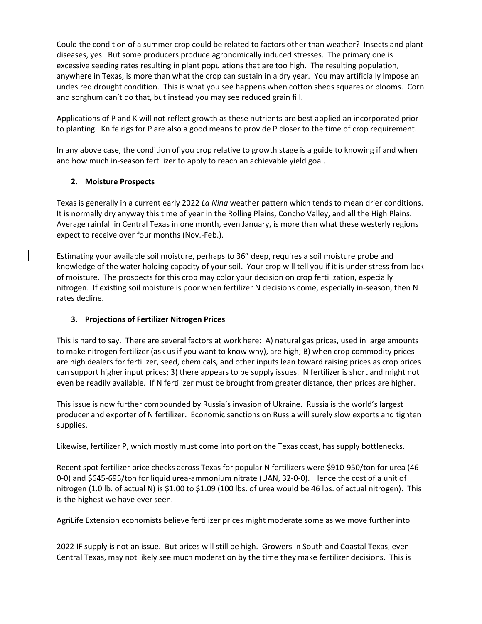Could the condition of a summer crop could be related to factors other than weather? Insects and plant diseases, yes. But some producers produce agronomically induced stresses. The primary one is excessive seeding rates resulting in plant populations that are too high. The resulting population, anywhere in Texas, is more than what the crop can sustain in a dry year. You may artificially impose an undesired drought condition. This is what you see happens when cotton sheds squares or blooms. Corn and sorghum can't do that, but instead you may see reduced grain fill.

Applications of P and K will not reflect growth as these nutrients are best applied an incorporated prior to planting. Knife rigs for P are also a good means to provide P closer to the time of crop requirement.

In any above case, the condition of you crop relative to growth stage is a guide to knowing if and when and how much in-season fertilizer to apply to reach an achievable yield goal.

## **2. Moisture Prospects**

Texas is generally in a current early 2022 *La Nina* weather pattern which tends to mean drier conditions. It is normally dry anyway this time of year in the Rolling Plains, Concho Valley, and all the High Plains. Average rainfall in Central Texas in one month, even January, is more than what these westerly regions expect to receive over four months (Nov.-Feb.).

Estimating your available soil moisture, perhaps to 36" deep, requires a soil moisture probe and knowledge of the water holding capacity of your soil. Your crop will tell you if it is under stress from lack of moisture. The prospects for this crop may color your decision on crop fertilization, especially nitrogen. If existing soil moisture is poor when fertilizer N decisions come, especially in-season, then N rates decline.

# **3. Projections of Fertilizer Nitrogen Prices**

This is hard to say. There are several factors at work here: A) natural gas prices, used in large amounts to make nitrogen fertilizer (ask us if you want to know why), are high; B) when crop commodity prices are high dealers for fertilizer, seed, chemicals, and other inputs lean toward raising prices as crop prices can support higher input prices; 3) there appears to be supply issues. N fertilizer is short and might not even be readily available. If N fertilizer must be brought from greater distance, then prices are higher.

This issue is now further compounded by Russia's invasion of Ukraine. Russia is the world's largest producer and exporter of N fertilizer. Economic sanctions on Russia will surely slow exports and tighten supplies.

Likewise, fertilizer P, which mostly must come into port on the Texas coast, has supply bottlenecks.

Recent spot fertilizer price checks across Texas for popular N fertilizers were \$910-950/ton for urea (46- 0-0) and \$645-695/ton for liquid urea-ammonium nitrate (UAN, 32-0-0). Hence the cost of a unit of nitrogen (1.0 lb. of actual N) is \$1.00 to \$1.09 (100 lbs. of urea would be 46 lbs. of actual nitrogen). This is the highest we have ever seen.

AgriLife Extension economists believe fertilizer prices might moderate some as we move further into

2022 IF supply is not an issue. But prices will still be high. Growers in South and Coastal Texas, even Central Texas, may not likely see much moderation by the time they make fertilizer decisions. This is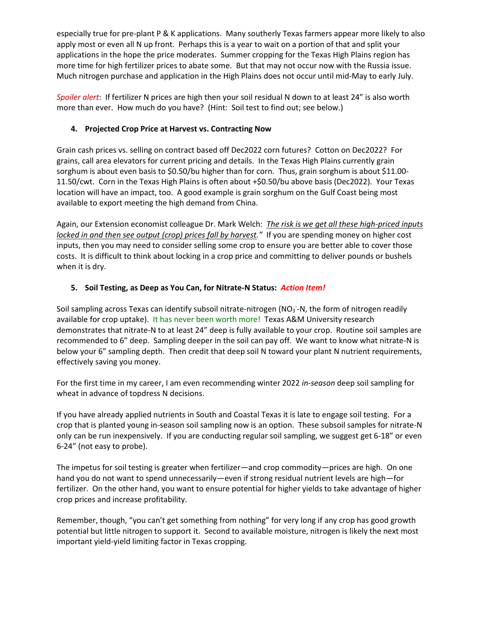especially true for pre-plant P & K applications. Many southerly Texas farmers appear more likely to also apply most or even all N up front. Perhaps this is a year to wait on a portion of that and split your applications in the hope the price moderates. Summer cropping for the Texas High Plains region has more time for high fertilizer prices to abate some. But that may not occur now with the Russia issue. Much nitrogen purchase and application in the High Plains does not occur until mid-May to early July.

*Spoiler alert*: If fertilizer N prices are high then your soil residual N down to at least 24" is also worth more than ever. How much do you have? (Hint: Soil test to find out; see below.)

## **4. Projected Crop Price at Harvest vs. Contracting Now**

Grain cash prices vs. selling on contract based off Dec2022 corn futures? Cotton on Dec2022? For grains, call area elevators for current pricing and details. In the Texas High Plains currently grain sorghum is about even basis to \$0.50/bu higher than for corn. Thus, grain sorghum is about \$11.00- 11.50/cwt. Corn in the Texas High Plains is often about +\$0.50/bu above basis (Dec2022). Your Texas location will have an impact, too. A good example is grain sorghum on the Gulf Coast being most available to export meeting the high demand from China.

Again, our Extension economist colleague Dr. Mark Welch: *The risk is we get all these high-priced inputs locked in and then see output (crop) prices fall by harvest."* If you are spending money on higher cost inputs, then you may need to consider selling some crop to ensure you are better able to cover those costs. It is difficult to think about locking in a crop price and committing to deliver pounds or bushels when it is dry.

## **5. Soil Testing, as Deep as You Can, for Nitrate-N Status:** *Action Item!*

Soil sampling across Texas can identify subsoil nitrate-nitrogen (NO<sub>3</sub>-N, the form of nitrogen readily available for crop uptake). It has never been worth more! Texas A&M University research demonstrates that nitrate-N to at least 24" deep is fully available to your crop. Routine soil samples are recommended to 6" deep. Sampling deeper in the soil can pay off. We want to know what nitrate-N is below your 6" sampling depth. Then credit that deep soil N toward your plant N nutrient requirements, effectively saving you money.

For the first time in my career, I am even recommending winter 2022 *in-season* deep soil sampling for wheat in advance of topdress N decisions.

If you have already applied nutrients in South and Coastal Texas it is late to engage soil testing. For a crop that is planted young in-season soil sampling now is an option. These subsoil samples for nitrate-N only can be run inexpensively. If you are conducting regular soil sampling, we suggest get 6-18" or even 6-24" (not easy to probe).

The impetus for soil testing is greater when fertilizer—and crop commodity—prices are high. On one hand you do not want to spend unnecessarily—even if strong residual nutrient levels are high—for fertilizer. On the other hand, you want to ensure potential for higher yields to take advantage of higher crop prices and increase profitability.

Remember, though, "you can't get something from nothing" for very long if any crop has good growth potential but little nitrogen to support it. Second to available moisture, nitrogen is likely the next most important yield-yield limiting factor in Texas cropping.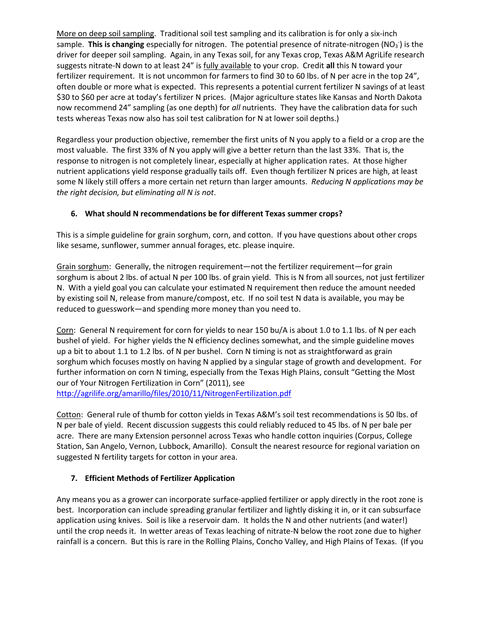More on deep soil sampling. Traditional soil test sampling and its calibration is for only a six-inch sample. This is changing especially for nitrogen. The potential presence of nitrate-nitrogen (NO<sub>3</sub>) is the driver for deeper soil sampling. Again, in any Texas soil, for any Texas crop, Texas A&M AgriLife research suggests nitrate-N down to at least 24" is fully available to your crop. Credit **all** this N toward your fertilizer requirement. It is not uncommon for farmers to find 30 to 60 lbs. of N per acre in the top 24", often double or more what is expected. This represents a potential current fertilizer N savings of at least \$30 to \$60 per acre at today's fertilizer N prices. (Major agriculture states like Kansas and North Dakota now recommend 24" sampling (as one depth) for *all* nutrients. They have the calibration data for such tests whereas Texas now also has soil test calibration for N at lower soil depths.)

Regardless your production objective, remember the first units of N you apply to a field or a crop are the most valuable. The first 33% of N you apply will give a better return than the last 33%. That is, the response to nitrogen is not completely linear, especially at higher application rates. At those higher nutrient applications yield response gradually tails off. Even though fertilizer N prices are high, at least some N likely still offers a more certain net return than larger amounts. *Reducing N applications may be the right decision, but eliminating all N is not*.

## **6. What should N recommendations be for different Texas summer crops?**

This is a simple guideline for grain sorghum, corn, and cotton. If you have questions about other crops like sesame, sunflower, summer annual forages, etc. please inquire.

Grain sorghum: Generally, the nitrogen requirement—not the fertilizer requirement—for grain sorghum is about 2 lbs. of actual N per 100 lbs. of grain yield. This is N from all sources, not just fertilizer N. With a yield goal you can calculate your estimated N requirement then reduce the amount needed by existing soil N, release from manure/compost, etc. If no soil test N data is available, you may be reduced to guesswork—and spending more money than you need to.

Corn: General N requirement for corn for yields to near 150 bu/A is about 1.0 to 1.1 lbs. of N per each bushel of yield. For higher yields the N efficiency declines somewhat, and the simple guideline moves up a bit to about 1.1 to 1.2 lbs. of N per bushel. Corn N timing is not as straightforward as grain sorghum which focuses mostly on having N applied by a singular stage of growth and development. For further information on corn N timing, especially from the Texas High Plains, consult "Getting the Most our of Your Nitrogen Fertilization in Corn" (2011), see <http://agrilife.org/amarillo/files/2010/11/NitrogenFertilization.pdf>

Cotton: General rule of thumb for cotton yields in Texas A&M's soil test recommendations is 50 lbs. of N per bale of yield. Recent discussion suggests this could reliably reduced to 45 lbs. of N per bale per acre. There are many Extension personnel across Texas who handle cotton inquiries (Corpus, College Station, San Angelo, Vernon, Lubbock, Amarillo). Consult the nearest resource for regional variation on suggested N fertility targets for cotton in your area.

### **7. Efficient Methods of Fertilizer Application**

Any means you as a grower can incorporate surface-applied fertilizer or apply directly in the root zone is best. Incorporation can include spreading granular fertilizer and lightly disking it in, or it can subsurface application using knives. Soil is like a reservoir dam. It holds the N and other nutrients (and water!) until the crop needs it. In wetter areas of Texas leaching of nitrate-N below the root zone due to higher rainfall is a concern. But this is rare in the Rolling Plains, Concho Valley, and High Plains of Texas. (If you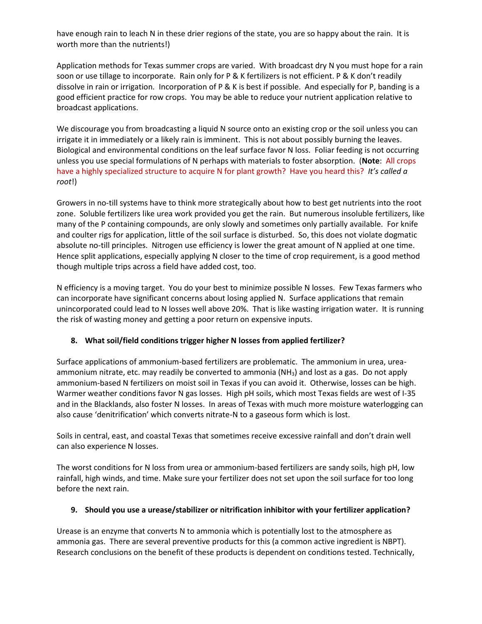have enough rain to leach N in these drier regions of the state, you are so happy about the rain. It is worth more than the nutrients!)

Application methods for Texas summer crops are varied. With broadcast dry N you must hope for a rain soon or use tillage to incorporate. Rain only for P & K fertilizers is not efficient. P & K don't readily dissolve in rain or irrigation. Incorporation of P & K is best if possible. And especially for P, banding is a good efficient practice for row crops. You may be able to reduce your nutrient application relative to broadcast applications.

We discourage you from broadcasting a liquid N source onto an existing crop or the soil unless you can irrigate it in immediately or a likely rain is imminent. This is not about possibly burning the leaves. Biological and environmental conditions on the leaf surface favor N loss. Foliar feeding is not occurring unless you use special formulations of N perhaps with materials to foster absorption. (**Note**: All crops have a highly specialized structure to acquire N for plant growth? Have you heard this? *It's called a root*!)

Growers in no-till systems have to think more strategically about how to best get nutrients into the root zone. Soluble fertilizers like urea work provided you get the rain. But numerous insoluble fertilizers, like many of the P containing compounds, are only slowly and sometimes only partially available. For knife and coulter rigs for application, little of the soil surface is disturbed. So, this does not violate dogmatic absolute no-till principles. Nitrogen use efficiency is lower the great amount of N applied at one time. Hence split applications, especially applying N closer to the time of crop requirement, is a good method though multiple trips across a field have added cost, too.

N efficiency is a moving target. You do your best to minimize possible N losses. Few Texas farmers who can incorporate have significant concerns about losing applied N. Surface applications that remain unincorporated could lead to N losses well above 20%. That is like wasting irrigation water. It is running the risk of wasting money and getting a poor return on expensive inputs.

### **8. What soil/field conditions trigger higher N losses from applied fertilizer?**

Surface applications of ammonium-based fertilizers are problematic. The ammonium in urea, ureaammonium nitrate, etc. may readily be converted to ammonia (NH<sub>3</sub>) and lost as a gas. Do not apply ammonium-based N fertilizers on moist soil in Texas if you can avoid it. Otherwise, losses can be high. Warmer weather conditions favor N gas losses. High pH soils, which most Texas fields are west of I-35 and in the Blacklands, also foster N losses. In areas of Texas with much more moisture waterlogging can also cause 'denitrification' which converts nitrate-N to a gaseous form which is lost.

Soils in central, east, and coastal Texas that sometimes receive excessive rainfall and don't drain well can also experience N losses.

The worst conditions for N loss from urea or ammonium-based fertilizers are sandy soils, high pH, low rainfall, high winds, and time. Make sure your fertilizer does not set upon the soil surface for too long before the next rain.

### **9. Should you use a urease/stabilizer or nitrification inhibitor with your fertilizer application?**

Urease is an enzyme that converts N to ammonia which is potentially lost to the atmosphere as ammonia gas. There are several preventive products for this (a common active ingredient is NBPT). Research conclusions on the benefit of these products is dependent on conditions tested. Technically,